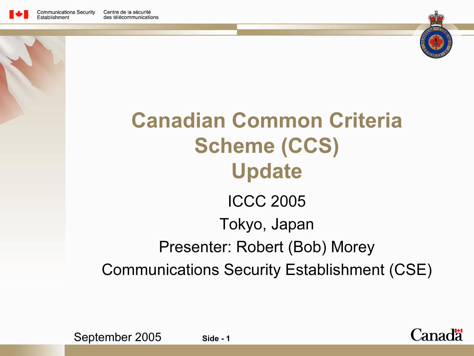





### Canadian Common Criteria Scheme (CCS) Update ICCC 2005Tokyo, Japan Presenter: Robert (Bob) Morey Communications Security Establishment (CSE)



September 2005 Side - 1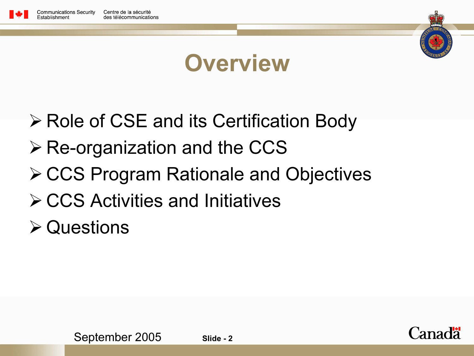



### **Overview**

- **≻ Role of CSE and its Certification Body**
- $\triangleright$  Re-organization and the CCS
- **≻ CCS Program Rationale and Objectives**
- **≻ CCS Activities and Initiatives**
- **≻ Questions**

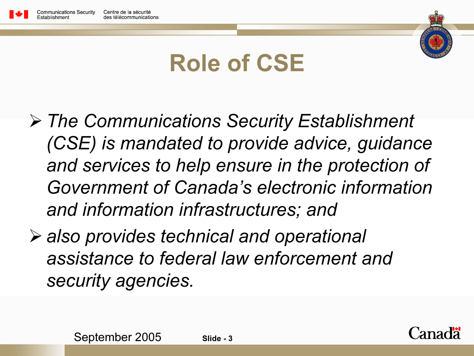



## Role of CSE

- The Communications Security Establishment (CSE) is mandated to provide advice, guidance and services to help ensure in the protection of Government of Canada's electronic information and information infrastructures; and
- also provides technical and operational assistance to federal law enforcement and security agencies.

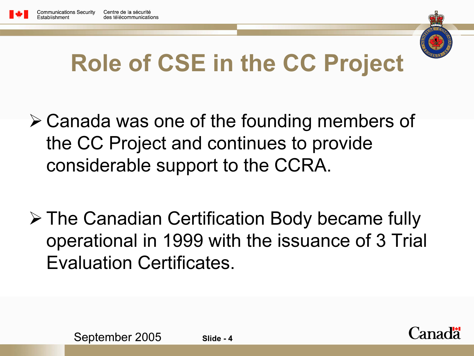



## Role of CSE in the CC Project

- Canada was one of the founding members of the CC Project and continues to provide considerable support to the CCRA.
- The Canadian Certification Body became fully operational in 1999 with the issuance of 3 Trial Evaluation Certificates.

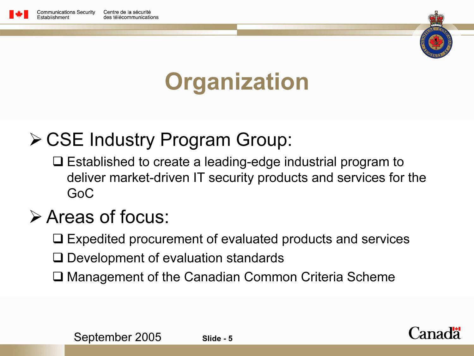



## **Organization**

#### **≻ CSE Industry Program Group:**

**□** Established to create a leading-edge industrial program to deliver market-driven IT security products and services for the GoC

#### Areas of focus:

**□ Expedited procurement of evaluated products and services** 

- $\square$  Development of evaluation standards
- **□ Management of the Canadian Common Criteria Scheme**

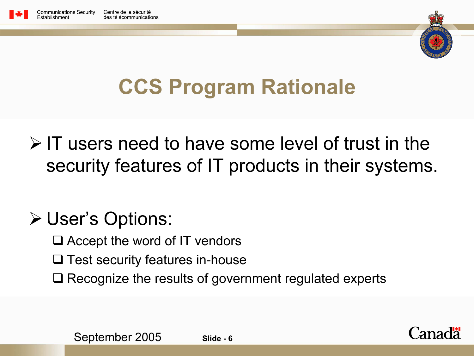



## CCS Program Rationale

 $\triangleright$  IT users need to have some level of trust in the security features of IT products in their systems.

#### User's Options:

- **□** Accept the word of IT vendors
- $\square$  Test security features in-house
- $\square$  Recognize the results of government regulated experts



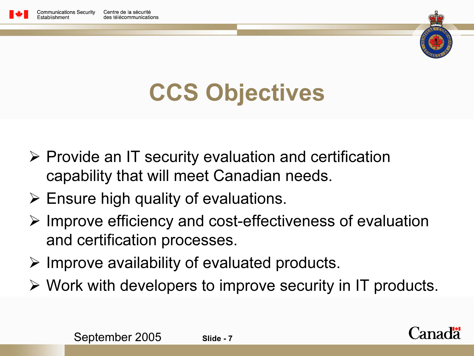



# CCS Objectives

- $\triangleright$  Provide an IT security evaluation and certification capability that will meet Canadian needs.
- $\triangleright$  Ensure high quality of evaluations.
- $\triangleright$  Improve efficiency and cost-effectiveness of evaluation and certification processes.
- $\triangleright$  Improve availability of evaluated products.
- Work with developers to improve security in IT products.

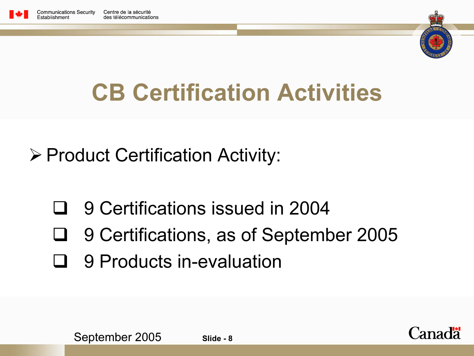



# CB Certification Activities

Product Certification Activity:

- $\Box$ 9 Certifications issued in 2004
- □ 9 Certifications, as of September 2005
- $\blacksquare$ 9 Products in-evaluation



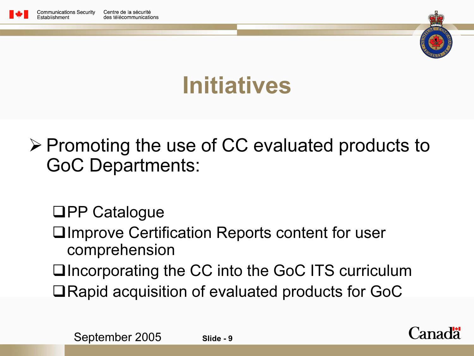



## Initiatives

 $\triangleright$  Promoting the use of CC evaluated products to GoC Departments:

**❑PP Catalogue** 

 $\square$ Improve Certification Reports content for user comprehension

**□Incorporating the CC into the GoC ITS curriculum**  $\Box$ Rapid acquisition of evaluated products for GoC